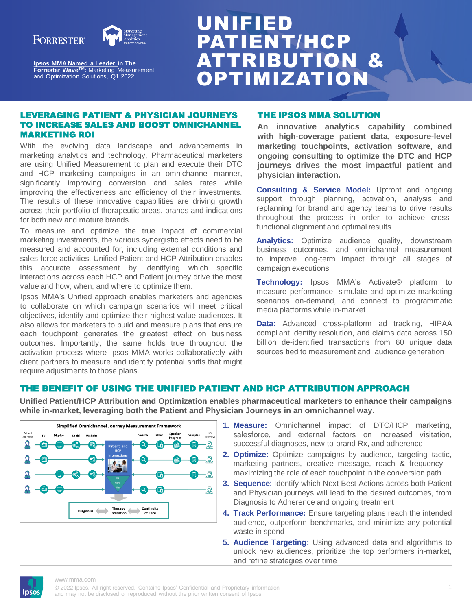### **FORRESTER®**



**[Ipsos MMA Named a Leader i](https://mma.com/resources/thought-leadership/ipsos-mma-named-a-leader-by-forrester-wave-2022/)n The Forrester WaveTM:** Marketing Measurement and Optimization Solutions, Q1 2022

# UNIFIED PATIENT/HCP ATTRIBUTION & **OPTIMIZATION**

#### LEVERAGING PATIENT & PHYSICIAN JOURNEYS TO INCREASE SALES AND BOOST OMNICHANNEL MARKETING ROI

With the evolving data landscape and advancements in marketing analytics and technology, Pharmaceutical marketers are using Unified Measurement to plan and execute their DTC and HCP marketing campaigns in an omnichannel manner, significantly improving conversion and sales rates while improving the effectiveness and efficiency of their investments. The results of these innovative capabilities are driving growth across their portfolio of therapeutic areas, brands and indications for both new and mature brands.

To measure and optimize the true impact of commercial marketing investments, the various synergistic effects need to be measured and accounted for, including external conditions and sales force activities. Unified Patient and HCP Attribution enables this accurate assessment by identifying which specific interactions across each HCP and Patient journey drive the most value and how, when, and where to optimize them.

Ipsos MMA's Unified approach enables marketers and agencies to collaborate on which campaign scenarios will meet critical objectives, identify and optimize their highest-value audiences. It also allows for marketers to build and measure plans that ensure each touchpoint generates the greatest effect on business outcomes. Importantly, the same holds true throughout the activation process where Ipsos MMA works collaboratively with client partners to measure and identify potential shifts that might require adjustments to those plans.

#### THE IPSOS MMA SOLUTION

**An innovative analytics capability combined with high-coverage patient data, exposure-level marketing touchpoints, activation software, and ongoing consulting to optimize the DTC and HCP journeys drives the most impactful patient and physician interaction.**

**Consulting & Service Model:** Upfront and ongoing support through planning, activation, analysis and replanning for brand and agency teams to drive results throughout the process in order to achieve crossfunctional alignment and optimal results

Analytics: Optimize audience quality, downstream business outcomes, and omnichannel measurement to improve long-term impact through all stages of campaign executions

**Technology:** Ipsos MMA's Activate® platform to measure performance, simulate and optimize marketing scenarios on-demand, and connect to programmatic media platforms while in-market

**Data:** Advanced cross-platform ad tracking, HIPAA compliant identity resolution, and claims data across 150 billion de-identified transactions from 60 unique data sources tied to measurement and audience generation

#### THE BENEFIT OF USING THE UNIFIED PATIENT AND HCP ATTRIBUTION APPROACH

**Unified Patient/HCP Attribution and Optimization enables pharmaceutical marketers to enhance their campaigns while in-market, leveraging both the Patient and Physician Journeys in an omnichannel way.**



- **1. Measure:** Omnichannel impact of DTC/HCP marketing, salesforce, and external factors on increased visitation, successful diagnoses, new-to-brand Rx, and adherence
- **2. Optimize:** Optimize campaigns by audience, targeting tactic, marketing partners, creative message, reach & frequency – maximizing the role of each touchpoint in the conversion path
- **3. Sequence**: Identify which Next Best Actions across both Patient and Physician journeys will lead to the desired outcomes, from Diagnosis to Adherence and ongoing treatment
- **4. Track Performance:** Ensure targeting plans reach the intended audience, outperform benchmarks, and minimize any potential waste in spend
- **5. Audience Targeting:** Using advanced data and algorithms to unlock new audiences, prioritize the top performers in-market, and refine strategies over time

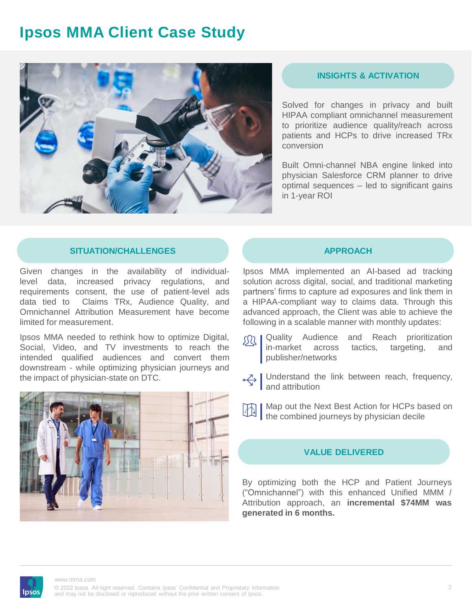## **Ipsos MMA Client Case Study**



#### **INSIGHTS & ACTIVATION**

Solved for changes in privacy and built HIPAA compliant omnichannel measurement to prioritize audience quality/reach across patients and HCPs to drive increased TRx conversion

Built Omni-channel NBA engine linked into physician Salesforce CRM planner to drive optimal sequences – led to significant gains in 1-year ROI

#### **SITUATION/CHALLENGES APPROACH**

Given changes in the availability of individuallevel data, increased privacy regulations, and requirements consent, the use of patient-level ads data tied to Claims TRx, Audience Quality, and Omnichannel Attribution Measurement have become limited for measurement.

Ipsos MMA needed to rethink how to optimize Digital, Social, Video, and TV investments to reach the intended qualified audiences and convert them downstream - while optimizing physician journeys and the impact of physician-state on DTC.



Ipsos MMA implemented an AI-based ad tracking solution across digital, social, and traditional marketing partners' firms to capture ad exposures and link them in a HIPAA-compliant way to claims data. Through this advanced approach, the Client was able to achieve the following in a scalable manner with monthly updates:

- **GO | Quality Audience and Reach prioritization** in-market across tactics, targeting, and publisher/networks
- Understand the link between reach, frequency, and attribution
- **Map out the Next Best Action for HCPs based on**  $\frac{1}{2}$  |  $\frac{1}{2}$  |  $\frac{1}{2}$  |  $\frac{1}{2}$  | the combined journeys by physician decile

#### **VALUE DELIVERED**

By optimizing both the HCP and Patient Journeys ("Omnichannel") with this enhanced Unified MMM / Attribution approach, an **incremental \$74MM was generated in 6 months.**